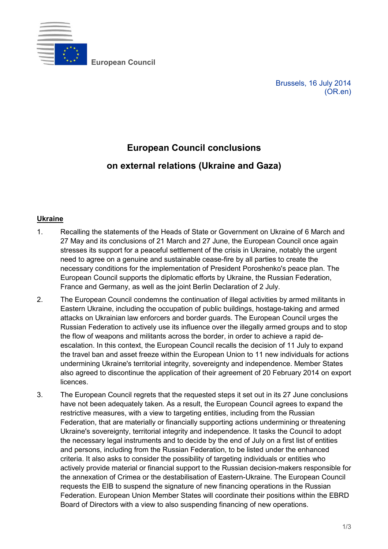

**European Council**

Brussels, 16 July 2014 (OR.en)

## **European Council conclusions**

## **on external relations (Ukraine and Gaza)**

## **Ukraine**

- 1. Recalling the statements of the Heads of State or Government on Ukraine of 6 March and 27 May and its conclusions of 21 March and 27 June, the European Council once again stresses its support for a peaceful settlement of the crisis in Ukraine, notably the urgent need to agree on a genuine and sustainable cease-fire by all parties to create the necessary conditions for the implementation of President Poroshenko's peace plan. The European Council supports the diplomatic efforts by Ukraine, the Russian Federation, France and Germany, as well as the joint Berlin Declaration of 2 July.
- 2. The European Council condemns the continuation of illegal activities by armed militants in Eastern Ukraine, including the occupation of public buildings, hostage-taking and armed attacks on Ukrainian law enforcers and border guards. The European Council urges the Russian Federation to actively use its influence over the illegally armed groups and to stop the flow of weapons and militants across the border, in order to achieve a rapid deescalation. In this context, the European Council recalls the decision of 11 July to expand the travel ban and asset freeze within the European Union to 11 new individuals for actions undermining Ukraine's territorial integrity, sovereignty and independence. Member States also agreed to discontinue the application of their agreement of 20 February 2014 on export licences.
- 3. The European Council regrets that the requested steps it set out in its 27 June conclusions have not been adequately taken. As a result, the European Council agrees to expand the restrictive measures, with a view to targeting entities, including from the Russian Federation, that are materially or financially supporting actions undermining or threatening Ukraine's sovereignty, territorial integrity and independence. It tasks the Council to adopt the necessary legal instruments and to decide by the end of July on a first list of entities and persons, including from the Russian Federation, to be listed under the enhanced criteria. It also asks to consider the possibility of targeting individuals or entities who actively provide material or financial support to the Russian decision-makers responsible for the annexation of Crimea or the destabilisation of Eastern-Ukraine. The European Council requests the EIB to suspend the signature of new financing operations in the Russian Federation. European Union Member States will coordinate their positions within the EBRD Board of Directors with a view to also suspending financing of new operations.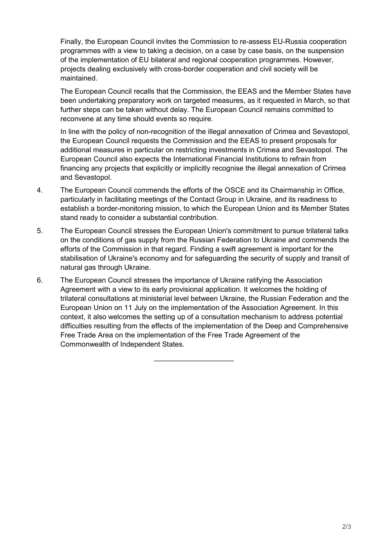Finally, the European Council invites the Commission to re-assess EU-Russia cooperation programmes with a view to taking a decision, on a case by case basis, on the suspension of the implementation of EU bilateral and regional cooperation programmes. However, projects dealing exclusively with cross-border cooperation and civil society will be maintained.

 The European Council recalls that the Commission, the EEAS and the Member States have been undertaking preparatory work on targeted measures, as it requested in March, so that further steps can be taken without delay. The European Council remains committed to reconvene at any time should events so require.

 In line with the policy of non-recognition of the illegal annexation of Crimea and Sevastopol, the European Council requests the Commission and the EEAS to present proposals for additional measures in particular on restricting investments in Crimea and Sevastopol. The European Council also expects the International Financial Institutions to refrain from financing any projects that explicitly or implicitly recognise the illegal annexation of Crimea and Sevastopol.

- 4. The European Council commends the efforts of the OSCE and its Chairmanship in Office, particularly in facilitating meetings of the Contact Group in Ukraine, and its readiness to establish a border-monitoring mission, to which the European Union and its Member States stand ready to consider a substantial contribution.
- 5. The European Council stresses the European Union's commitment to pursue trilateral talks on the conditions of gas supply from the Russian Federation to Ukraine and commends the efforts of the Commission in that regard. Finding a swift agreement is important for the stabilisation of Ukraine's economy and for safeguarding the security of supply and transit of natural gas through Ukraine.
- 6. The European Council stresses the importance of Ukraine ratifying the Association Agreement with a view to its early provisional application. It welcomes the holding of trilateral consultations at ministerial level between Ukraine, the Russian Federation and the European Union on 11 July on the implementation of the Association Agreement. In this context, it also welcomes the setting up of a consultation mechanism to address potential difficulties resulting from the effects of the implementation of the Deep and Comprehensive Free Trade Area on the implementation of the Free Trade Agreement of the Commonwealth of Independent States.

\_\_\_\_\_\_\_\_\_\_\_\_\_\_\_\_\_\_\_\_